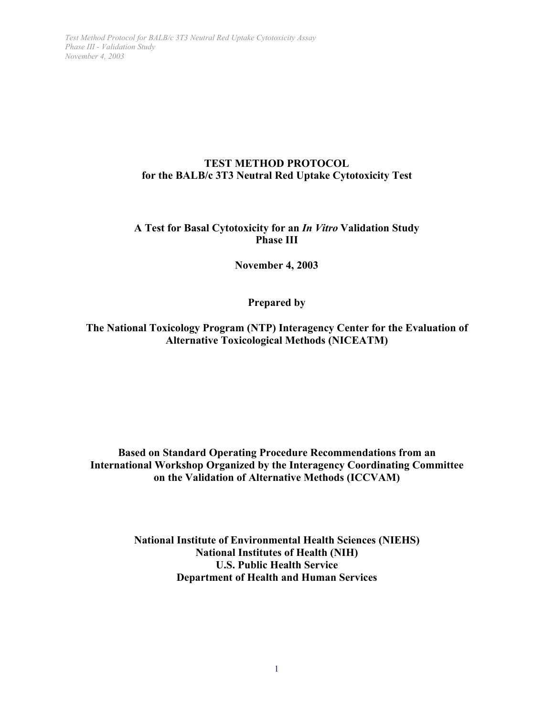# **TEST METHOD PROTOCOL for the BALB/c 3T3 Neutral Red Uptake Cytotoxicity Test**

# **A Test for Basal Cytotoxicity for an** *In Vitro* **Validation Study Phase III**

# **November 4, 2003**

**Prepared by**

**The National Toxicology Program (NTP) Interagency Center for the Evaluation of Alternative Toxicological Methods (NICEATM)**

**Based on Standard Operating Procedure Recommendations from an International Workshop Organized by the Interagency Coordinating Committee on the Validation of Alternative Methods (ICCVAM)**

> **National Institute of Environmental Health Sciences (NIEHS) National Institutes of Health (NIH) U.S. Public Health Service Department of Health and Human Services**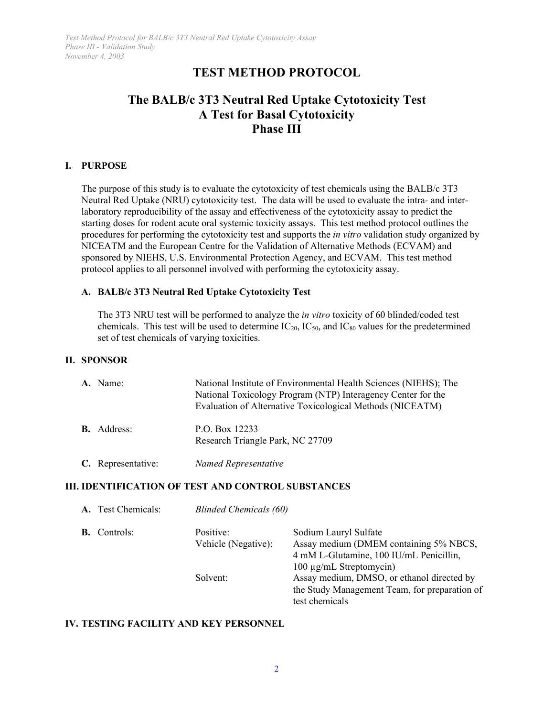# **TEST METHOD PROTOCOL**

# **The BALB/c 3T3 Neutral Red Uptake Cytotoxicity Test A Test for Basal Cytotoxicity Phase III**

### **I. PURPOSE**

The purpose of this study is to evaluate the cytotoxicity of test chemicals using the BALB/c 3T3 Neutral Red Uptake (NRU) cytotoxicity test. The data will be used to evaluate the intra- and interlaboratory reproducibility of the assay and effectiveness of the cytotoxicity assay to predict the starting doses for rodent acute oral systemic toxicity assays. This test method protocol outlines the procedures for performing the cytotoxicity test and supports the *in vitro* validation study organized by NICEATM and the European Centre for the Validation of Alternative Methods (ECVAM) and sponsored by NIEHS, U.S. Environmental Protection Agency, and ECVAM. This test method protocol applies to all personnel involved with performing the cytotoxicity assay.

# **A. BALB/c 3T3 Neutral Red Uptake Cytotoxicity Test**

The 3T3 NRU test will be performed to analyze the *in vitro* toxicity of 60 blinded/coded test chemicals. This test will be used to determine  $IC_{20}$ ,  $IC_{50}$ , and  $IC_{80}$  values for the predetermined set of test chemicals of varying toxicities.

### **II. SPONSOR**

| A. Name:           | National Institute of Environmental Health Sciences (NIEHS); The<br>National Toxicology Program (NTP) Interagency Center for the<br>Evaluation of Alternative Toxicological Methods (NICEATM) |  |  |  |  |  |
|--------------------|-----------------------------------------------------------------------------------------------------------------------------------------------------------------------------------------------|--|--|--|--|--|
| <b>B.</b> Address: | P.O. Box 12233<br>Research Triangle Park, NC 27709                                                                                                                                            |  |  |  |  |  |
| C. Representative: | Named Representative                                                                                                                                                                          |  |  |  |  |  |

# **III. IDENTIFICATION OF TEST AND CONTROL SUBSTANCES**

|           | A. Test Chemicals: |                     | <b>Blinded Chemicals (60)</b>                 |  |  |  |  |  |
|-----------|--------------------|---------------------|-----------------------------------------------|--|--|--|--|--|
| <b>B.</b> | Controls:          | Positive:           | Sodium Lauryl Sulfate                         |  |  |  |  |  |
|           |                    | Vehicle (Negative): | Assay medium (DMEM containing 5% NBCS,        |  |  |  |  |  |
|           |                    |                     | 4 mM L-Glutamine, 100 IU/mL Penicillin,       |  |  |  |  |  |
|           |                    |                     | 100 μg/mL Streptomycin)                       |  |  |  |  |  |
|           |                    | Solvent:            | Assay medium, DMSO, or ethanol directed by    |  |  |  |  |  |
|           |                    |                     | the Study Management Team, for preparation of |  |  |  |  |  |
|           |                    |                     | test chemicals                                |  |  |  |  |  |

# **IV. TESTING FACILITY AND KEY PERSONNEL**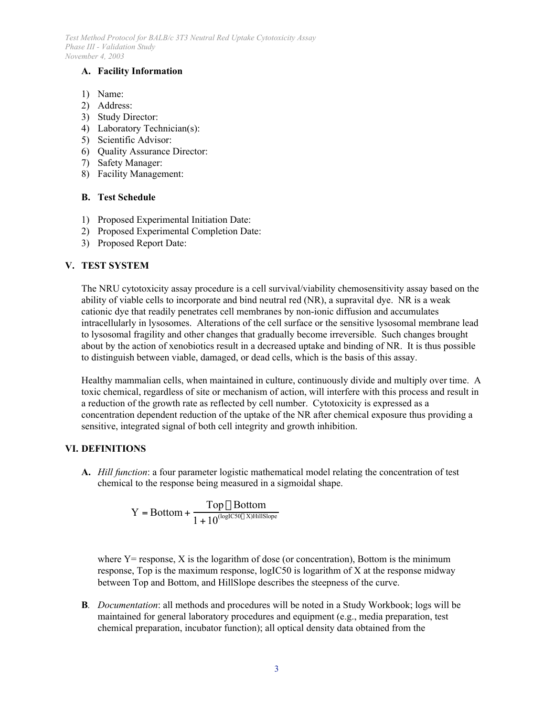# **A. Facility Information**

- 1) Name:
- 2) Address:
- 3) Study Director:
- 4) Laboratory Technician(s):
- 5) Scientific Advisor:
- 6) Quality Assurance Director:
- 7) Safety Manager:
- 8) Facility Management:

#### **B. Test Schedule**

- 1) Proposed Experimental Initiation Date:
- 2) Proposed Experimental Completion Date:
- 3) Proposed Report Date:

#### **V. TEST SYSTEM**

The NRU cytotoxicity assay procedure is a cell survival/viability chemosensitivity assay based on the ability of viable cells to incorporate and bind neutral red (NR), a supravital dye. NR is a weak cationic dye that readily penetrates cell membranes by non-ionic diffusion and accumulates intracellularly in lysosomes. Alterations of the cell surface or the sensitive lysosomal membrane lead to lysosomal fragility and other changes that gradually become irreversible. Such changes brought about by the action of xenobiotics result in a decreased uptake and binding of NR. It is thus possible to distinguish between viable, damaged, or dead cells, which is the basis of this assay.

Healthy mammalian cells, when maintained in culture, continuously divide and multiply over time. A toxic chemical, regardless of site or mechanism of action, will interfere with this process and result in a reduction of the growth rate as reflected by cell number. Cytotoxicity is expressed as a concentration dependent reduction of the uptake of the NR after chemical exposure thus providing a sensitive, integrated signal of both cell integrity and growth inhibition.

# **VI. DEFINITIONS**

**A.** *Hill function*: a four parameter logistic mathematical model relating the concentration of test chemical to the response being measured in a sigmoidal shape.

$$
Y = Bottom + \frac{Top - Bottom}{1 + 10^{\text{(logIC50 - X)HillSlope}}}
$$

where  $Y =$  response,  $X$  is the logarithm of dose (or concentration), Bottom is the minimum response, Top is the maximum response, logIC50 is logarithm of X at the response midway between Top and Bottom, and HillSlope describes the steepness of the curve.

**B***. Documentation*: all methods and procedures will be noted in a Study Workbook; logs will be maintained for general laboratory procedures and equipment (e.g., media preparation, test chemical preparation, incubator function); all optical density data obtained from the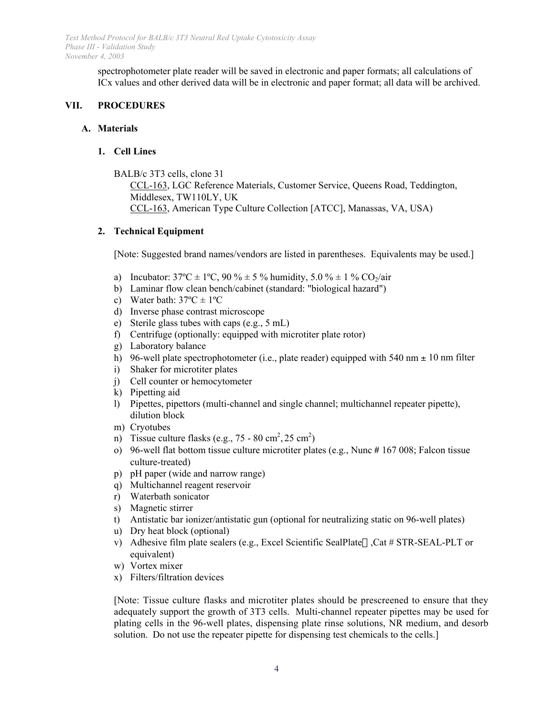> spectrophotometer plate reader will be saved in electronic and paper formats; all calculations of ICx values and other derived data will be in electronic and paper format; all data will be archived.

### **VII. PROCEDURES**

#### **A. Materials**

#### **1. Cell Lines**

BALB/c 3T3 cells, clone 31 CCL-163, LGC Reference Materials, Customer Service, Queens Road, Teddington, Middlesex, TW110LY, UK CCL-163, American Type Culture Collection [ATCC], Manassas, VA, USA)

#### **2. Technical Equipment**

[Note: Suggested brand names/vendors are listed in parentheses. Equivalents may be used.]

- a) Incubator:  $37^{\circ}\text{C} \pm 1^{\circ}\text{C}$ ,  $90\% \pm 5\%$  humidity,  $5.0\% \pm 1\%$  CO<sub>2</sub>/air
- b) Laminar flow clean bench/cabinet (standard: "biological hazard")
- c) Water bath:  $37^{\circ}C \pm 1^{\circ}C$
- d) Inverse phase contrast microscope
- e) Sterile glass tubes with caps (e.g., 5 mL)
- f) Centrifuge (optionally: equipped with microtiter plate rotor)
- g) Laboratory balance
- h) 96-well plate spectrophotometer (i.e., plate reader) equipped with 540 nm  $\pm$  10 nm filter
- i) Shaker for microtiter plates
- j) Cell counter or hemocytometer
- k) Pipetting aid
- l) Pipettes, pipettors (multi-channel and single channel; multichannel repeater pipette), dilution block
- m) Cryotubes
- n) Tissue culture flasks (e.g.,  $75 80 \text{ cm}^2$ ,  $25 \text{ cm}^2$ )
- o) 96-well flat bottom tissue culture microtiter plates (e.g., Nunc # 167 008; Falcon tissue culture-treated)
- p) pH paper (wide and narrow range)
- q) Multichannel reagent reservoir
- r) Waterbath sonicator
- s) Magnetic stirrer
- t) Antistatic bar ionizer/antistatic gun (optional for neutralizing static on 96-well plates)
- u) Dry heat block (optional)
- v) Adhesive film plate sealers (e.g., Excel Scientific SealPlate<sup> $\text{m}$ </sup>,Cat # STR-SEAL-PLT or equivalent)
- w) Vortex mixer
- x) Filters/filtration devices

[Note: Tissue culture flasks and microtiter plates should be prescreened to ensure that they adequately support the growth of 3T3 cells. Multi-channel repeater pipettes may be used for plating cells in the 96-well plates, dispensing plate rinse solutions, NR medium, and desorb solution. Do not use the repeater pipette for dispensing test chemicals to the cells.]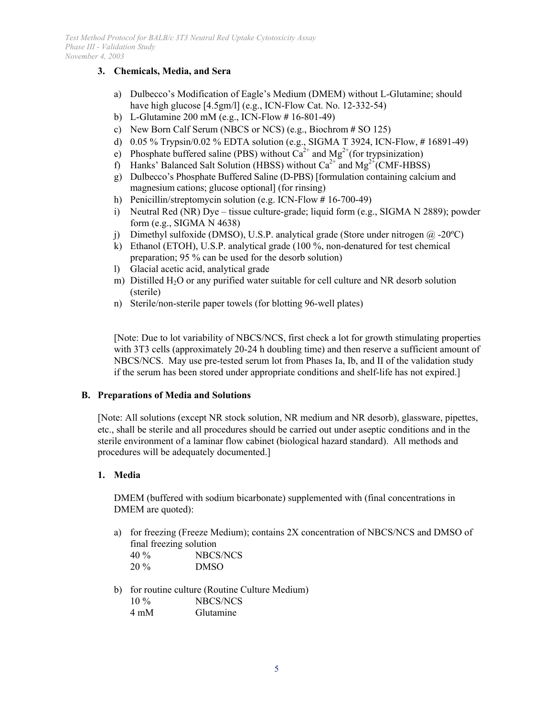# **3. Chemicals, Media, and Sera**

- a) Dulbecco's Modification of Eagle's Medium (DMEM) without L-Glutamine; should have high glucose [4.5gm/l] (e.g., ICN-Flow Cat. No. 12-332-54)
- b) L-Glutamine 200 mM (e.g., ICN-Flow # 16-801-49)
- c) New Born Calf Serum (NBCS or NCS) (e.g., Biochrom # SO 125)
- d) 0.05 % Trypsin/0.02 % EDTA solution (e.g., SIGMA T 3924, ICN-Flow, # 16891-49)
- e) Phosphate buffered saline (PBS) without  $Ca^{2+}$  and  $Mg^{2+}$ (for trypsinization)
- f) Hanks' Balanced Salt Solution (HBSS) without  $Ca^{2+}$  and  $Mg^{2+}$ (CMF-HBSS)
- g) Dulbecco's Phosphate Buffered Saline (D-PBS) [formulation containing calcium and magnesium cations; glucose optional] (for rinsing)
- h) Penicillin/streptomycin solution (e.g. ICN-Flow # 16-700-49)
- i) Neutral Red (NR) Dye tissue culture-grade; liquid form (e.g., SIGMA N 2889); powder form (e.g., SIGMA N 4638)
- j) Dimethyl sulfoxide (DMSO), U.S.P. analytical grade (Store under nitrogen  $(\partial \Omega)$  -20°C)
- k) Ethanol (ETOH), U.S.P. analytical grade (100 %, non-denatured for test chemical preparation; 95 % can be used for the desorb solution)
- l) Glacial acetic acid, analytical grade
- m) Distilled  $H_2O$  or any purified water suitable for cell culture and NR desorb solution (sterile)
- n) Sterile/non-sterile paper towels (for blotting 96-well plates)

[Note: Due to lot variability of NBCS/NCS, first check a lot for growth stimulating properties with 3T3 cells (approximately 20-24 h doubling time) and then reserve a sufficient amount of NBCS/NCS. May use pre-tested serum lot from Phases Ia, Ib, and II of the validation study if the serum has been stored under appropriate conditions and shelf-life has not expired.]

# **B. Preparations of Media and Solutions**

[Note: All solutions (except NR stock solution, NR medium and NR desorb), glassware, pipettes, etc., shall be sterile and all procedures should be carried out under aseptic conditions and in the sterile environment of a laminar flow cabinet (biological hazard standard). All methods and procedures will be adequately documented.]

# **1. Media**

DMEM (buffered with sodium bicarbonate) supplemented with (final concentrations in DMEM are quoted):

a) for freezing (Freeze Medium); contains 2X concentration of NBCS/NCS and DMSO of final freezing solution 40 % NBCS/NCS

| TV 70 | 13DCD/133   |
|-------|-------------|
| 20 %  | <b>DMSO</b> |

b) for routine culture (Routine Culture Medium) 10 % NBCS/NCS 4 mM Glutamine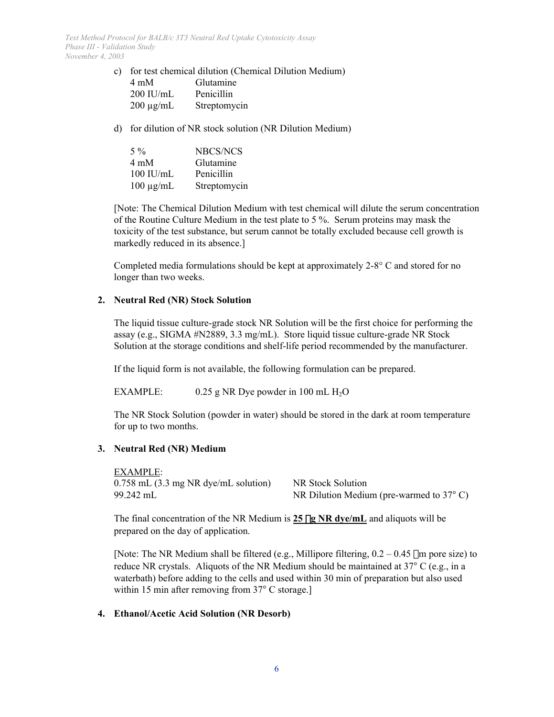- c) for test chemical dilution (Chemical Dilution Medium) 4 mM Glutamine 200 IU/mL Penicillin 200 µg/mL Streptomycin
- d) for dilution of NR stock solution (NR Dilution Medium)

| $5\%$          | NBCS/NCS     |
|----------------|--------------|
| $4 \text{ mM}$ | Glutamine    |
| $100$ IU/mL    | Penicillin   |
| $100 \mu g/mL$ | Streptomycin |

[Note: The Chemical Dilution Medium with test chemical will dilute the serum concentration of the Routine Culture Medium in the test plate to 5 %. Serum proteins may mask the toxicity of the test substance, but serum cannot be totally excluded because cell growth is markedly reduced in its absence.]

Completed media formulations should be kept at approximately  $2-8^{\circ}$  C and stored for no longer than two weeks.

# **2. Neutral Red (NR) Stock Solution**

The liquid tissue culture-grade stock NR Solution will be the first choice for performing the assay (e.g., SIGMA #N2889, 3.3 mg/mL). Store liquid tissue culture-grade NR Stock Solution at the storage conditions and shelf-life period recommended by the manufacturer.

If the liquid form is not available, the following formulation can be prepared.

EXAMPLE:  $0.25$  g NR Dye powder in 100 mL H<sub>2</sub>O

The NR Stock Solution (powder in water) should be stored in the dark at room temperature for up to two months.

# **3. Neutral Red (NR) Medium**

EXAMPLE: 0.758 mL (3.3 mg NR dye/mL solution) NR Stock Solution 99.242 mL NR Dilution Medium (pre-warmed to 37 C)

The final concentration of the NR Medium is  $25 \mu g N R$  dye/mL and aliquots will be prepared on the day of application.

[Note: The NR Medium shall be filtered (e.g., Millipore filtering,  $0.2 - 0.45$  um pore size) to reduce NR crystals. Aliquots of the NR Medium should be maintained at 37 C (e.g., in a waterbath) before adding to the cells and used within 30 min of preparation but also used within 15 min after removing from 37 C storage.

# **4. Ethanol/Acetic Acid Solution (NR Desorb)**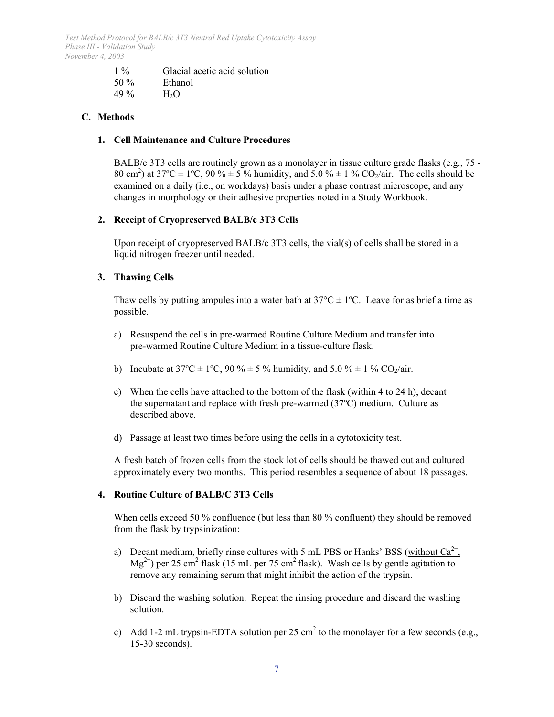| $1\%$ | Glacial acetic acid solution |
|-------|------------------------------|
| 50 %  | Ethanol                      |
| 49 %  | H <sub>2</sub> O             |

# **C. Methods**

#### **1. Cell Maintenance and Culture Procedures**

BALB/c 3T3 cells are routinely grown as a monolayer in tissue culture grade flasks (e.g., 75 - 80 cm<sup>2</sup>) at 37°C  $\pm$  1°C, 90 %  $\pm$  5 % humidity, and 5.0 %  $\pm$  1 % CO<sub>2</sub>/air. The cells should be examined on a daily (i.e., on workdays) basis under a phase contrast microscope, and any changes in morphology or their adhesive properties noted in a Study Workbook.

# **2. Receipt of Cryopreserved BALB/c 3T3 Cells**

Upon receipt of cryopreserved BALB/c 3T3 cells, the vial(s) of cells shall be stored in a liquid nitrogen freezer until needed.

#### **3. Thawing Cells**

Thaw cells by putting ampules into a water bath at  $37^{\circ}C \pm 1^{\circ}C$ . Leave for as brief a time as possible.

- a) Resuspend the cells in pre-warmed Routine Culture Medium and transfer into pre-warmed Routine Culture Medium in a tissue-culture flask.
- b) Incubate at  $37^{\circ}\text{C} \pm 1^{\circ}\text{C}$ ,  $90\% \pm 5\%$  humidity, and  $5.0\% \pm 1\%$  CO<sub>2</sub>/air.
- c) When the cells have attached to the bottom of the flask (within 4 to 24 h), decant the supernatant and replace with fresh pre-warmed (37ºC) medium. Culture as described above.
- d) Passage at least two times before using the cells in a cytotoxicity test.

A fresh batch of frozen cells from the stock lot of cells should be thawed out and cultured approximately every two months. This period resembles a sequence of about 18 passages.

#### **4. Routine Culture of BALB/C 3T3 Cells**

When cells exceed 50 % confluence (but less than 80 % confluent) they should be removed from the flask by trypsinization:

- a) Decant medium, briefly rinse cultures with 5 mL PBS or Hanks' BSS (without  $Ca^{2+}$ ,  $Mg^{2+}$ ) per 25 cm<sup>2</sup> flask (15 mL per 75 cm<sup>2</sup> flask). Wash cells by gentle agitation to remove any remaining serum that might inhibit the action of the trypsin.
- b) Discard the washing solution. Repeat the rinsing procedure and discard the washing solution.
- c) Add 1-2 mL trypsin-EDTA solution per 25 cm<sup>2</sup> to the monolayer for a few seconds (e.g., 15-30 seconds).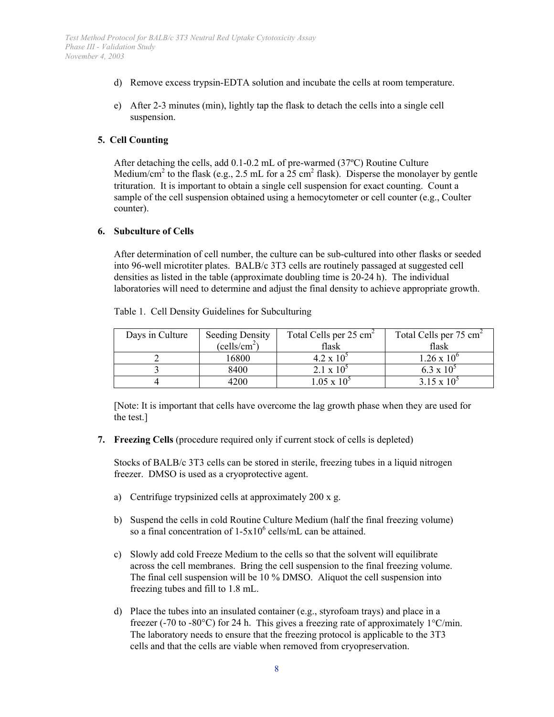- d) Remove excess trypsin-EDTA solution and incubate the cells at room temperature.
- e) After 2-3 minutes (min), lightly tap the flask to detach the cells into a single cell suspension.

# **5. Cell Counting**

After detaching the cells, add 0.1-0.2 mL of pre-warmed (37ºC) Routine Culture Medium/cm<sup>2</sup> to the flask (e.g., 2.5 mL for a  $25 \text{ cm}^2$  flask). Disperse the monolayer by gentle trituration. It is important to obtain a single cell suspension for exact counting. Count a sample of the cell suspension obtained using a hemocytometer or cell counter (e.g., Coulter counter).

#### **6. Subculture of Cells**

After determination of cell number, the culture can be sub-cultured into other flasks or seeded into 96-well microtiter plates. BALB/c 3T3 cells are routinely passaged at suggested cell densities as listed in the table (approximate doubling time is 20-24 h). The individual laboratories will need to determine and adjust the final density to achieve appropriate growth.

| Days in Culture | <b>Seeding Density</b>   | Total Cells per 25 cm <sup>2</sup> | Total Cells per 75 cm <sup>2</sup> |  |  |
|-----------------|--------------------------|------------------------------------|------------------------------------|--|--|
|                 | (cells/cm <sup>2</sup> ) | flask                              | flask                              |  |  |
|                 | 16800                    | $4.2 \times 10^{5}$                | $1.26 \times 10^{6}$               |  |  |
|                 | 8400                     | $2.1 \times 10^{5}$                | $6.3 \times 10^{3}$                |  |  |
|                 | $+200$                   | $0.5 \times 10^{-7}$               | 3.15 x 10 <sup>.</sup>             |  |  |

Table 1. Cell Density Guidelines for Subculturing

[Note: It is important that cells have overcome the lag growth phase when they are used for the test.]

**7. Freezing Cells** (procedure required only if current stock of cells is depleted)

Stocks of BALB/c 3T3 cells can be stored in sterile, freezing tubes in a liquid nitrogen freezer. DMSO is used as a cryoprotective agent.

- a) Centrifuge trypsinized cells at approximately 200 x g.
- b) Suspend the cells in cold Routine Culture Medium (half the final freezing volume) so a final concentration of  $1-5x10^6$  cells/mL can be attained.
- c) Slowly add cold Freeze Medium to the cells so that the solvent will equilibrate across the cell membranes. Bring the cell suspension to the final freezing volume. The final cell suspension will be 10 % DMSO. Aliquot the cell suspension into freezing tubes and fill to 1.8 mL.
- d) Place the tubes into an insulated container (e.g., styrofoam trays) and place in a freezer (-70 to -80 $^{\circ}$ C) for 24 h. This gives a freezing rate of approximately 1 $^{\circ}$ C/min. The laboratory needs to ensure that the freezing protocol is applicable to the 3T3 cells and that the cells are viable when removed from cryopreservation.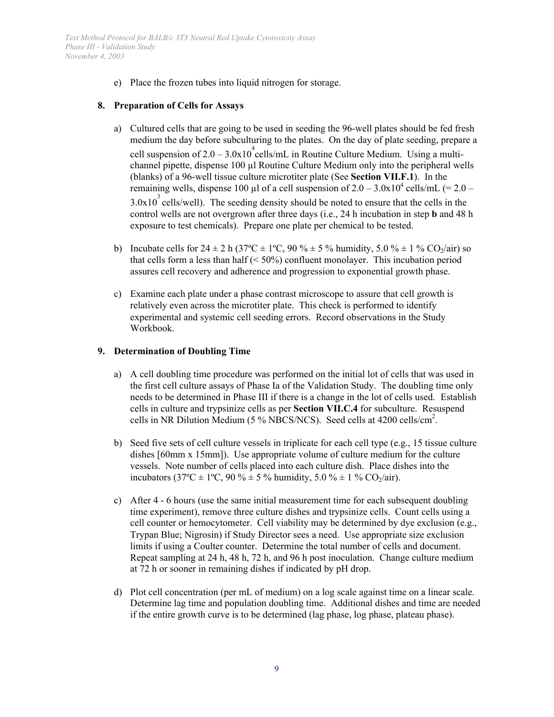e) Place the frozen tubes into liquid nitrogen for storage.

#### **8. Preparation of Cells for Assays**

- a) Cultured cells that are going to be used in seeding the 96-well plates should be fed fresh medium the day before subculturing to the plates. On the day of plate seeding, prepare a cell suspension of  $2.0 - 3.0x10^4$  cells/mL in Routine Culture Medium. Using a multichannel pipette, dispense 100 µl Routine Culture Medium only into the peripheral wells (blanks) of a 96-well tissue culture microtiter plate (See **Section VII.F.1**). In the remaining wells, dispense 100 µl of a cell suspension of  $2.0 - 3.0x10^4$  cells/mL (= 2.0 –  $3.0x10<sup>3</sup>$  cells/well). The seeding density should be noted to ensure that the cells in the control wells are not overgrown after three days (i.e., 24 h incubation in step **b** and 48 h exposure to test chemicals). Prepare one plate per chemical to be tested.
- b) Incubate cells for  $24 \pm 2$  h ( $37^{\circ}\text{C} \pm 1^{\circ}\text{C}$ ,  $90\% \pm 5\%$  humidity,  $5.0\% \pm 1\%$  CO<sub>2</sub>/air) so that cells form a less than half  $( $50\%$ )$  confluent monolayer. This incubation period assures cell recovery and adherence and progression to exponential growth phase.
- c) Examine each plate under a phase contrast microscope to assure that cell growth is relatively even across the microtiter plate. This check is performed to identify experimental and systemic cell seeding errors. Record observations in the Study Workbook.

#### **9. Determination of Doubling Time**

- needs to be determined in Phase III if there is a change in the lot of cells used. Establish a) A cell doubling time procedure was performed on the initial lot of cells that was used in the first cell culture assays of Phase Ia of the Validation Study. The doubling time only cells in culture and trypsinize cells as per **Section VII.C.4** for subculture. Resuspend cells in NR Dilution Medium (5 % NBCS/NCS). Seed cells at 4200 cells/cm<sup>2</sup>.
- b) Seed five sets of cell culture vessels in triplicate for each cell type (e.g., 15 tissue culture dishes [60mm x 15mm]). Use appropriate volume of culture medium for the culture vessels. Note number of cells placed into each culture dish. Place dishes into the incubators (37°C  $\pm$  1°C, 90 %  $\pm$  5 % humidity, 5.0 %  $\pm$  1 % CO<sub>2</sub>/air).
- c) After  $4 6$  hours (use the same initial measurement time for each subsequent doubling time experiment), remove three culture dishes and trypsinize cells. Count cells using a cell counter or hemocytometer. Cell viability may be determined by dye exclusion (e.g., Trypan Blue; Nigrosin) if Study Director sees a need. Use appropriate size exclusion limits if using a Coulter counter. Determine the total number of cells and document. Repeat sampling at 24 h, 48 h, 72 h, and 96 h post inoculation. Change culture medium at 72 h or sooner in remaining dishes if indicated by pH drop.
- d) Plot cell concentration (per mL of medium) on a log scale against time on a linear scale. Determine lag time and population doubling time. Additional dishes and time are needed if the entire growth curve is to be determined (lag phase, log phase, plateau phase).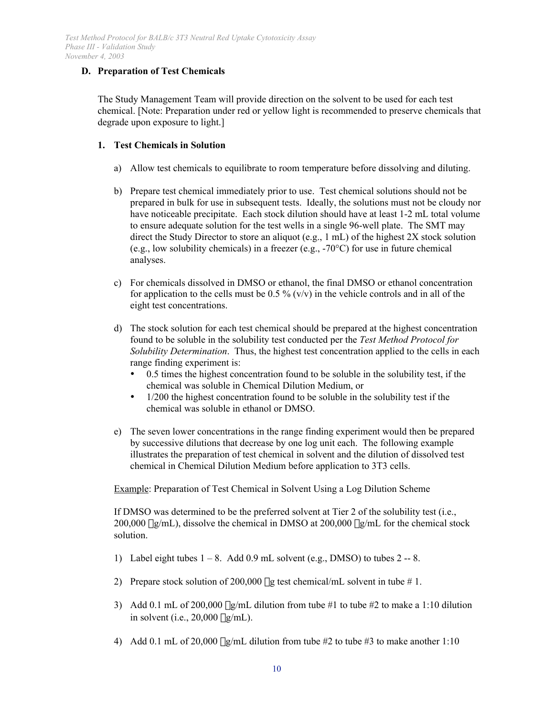# **D. Preparation of Test Chemicals**

The Study Management Team will provide direction on the solvent to be used for each test chemical. [Note: Preparation under red or yellow light is recommended to preserve chemicals that degrade upon exposure to light.]

# **1. Test Chemicals in Solution**

- a) Allow test chemicals to equilibrate to room temperature before dissolving and diluting.
- b) Prepare test chemical immediately prior to use. Test chemical solutions should not be prepared in bulk for use in subsequent tests. Ideally, the solutions must not be cloudy nor have noticeable precipitate. Each stock dilution should have at least 1-2 mL total volume to ensure adequate solution for the test wells in a single 96-well plate. The SMT may direct the Study Director to store an aliquot (e.g., 1 mL) of the highest 2X stock solution (e.g., low solubility chemicals) in a freezer (e.g., -70°C) for use in future chemical analyses.
- c) For chemicals dissolved in DMSO or ethanol, the final DMSO or ethanol concentration for application to the cells must be  $0.5\%$  (v/v) in the vehicle controls and in all of the eight test concentrations.
- d) The stock solution for each test chemical should be prepared at the highest concentration found to be soluble in the solubility test conducted per the *Test Method Protocol for Solubility Determination*. Thus, the highest test concentration applied to the cells in each range finding experiment is:

 0.5 times the highest concentration found to be soluble in the solubility test, if the chemical was soluble in Chemical Dilution Medium, or

 1/200 the highest concentration found to be soluble in the solubility test if the chemical was soluble in ethanol or DMSO.

e) The seven lower concentrations in the range finding experiment would then be prepared by successive dilutions that decrease by one log unit each. The following example illustrates the preparation of test chemical in solvent and the dilution of dissolved test chemical in Chemical Dilution Medium before application to 3T3 cells.

Example: Preparation of Test Chemical in Solvent Using a Log Dilution Scheme

If DMSO was determined to be the preferred solvent at Tier 2 of the solubility test (i.e.,  $200,000 \mu g/mL$ ), dissolve the chemical in DMSO at  $200,000 \mu g/mL$  for the chemical stock solution.

- 1) Label eight tubes  $1 8$ . Add  $0.9$  mL solvent (e.g., DMSO) to tubes  $2 8$ .
- 2) Prepare stock solution of 200,000  $\mu$ g test chemical/mL solvent in tube # 1.
- 3) Add 0.1 mL of 200,000  $\mu$ g/mL dilution from tube #1 to tube #2 to make a 1:10 dilution in solvent (i.e.,  $20,000 \mu g/mL$ ).
- 4) Add 0.1 mL of 20,000  $\mu$ g/mL dilution from tube #2 to tube #3 to make another 1:10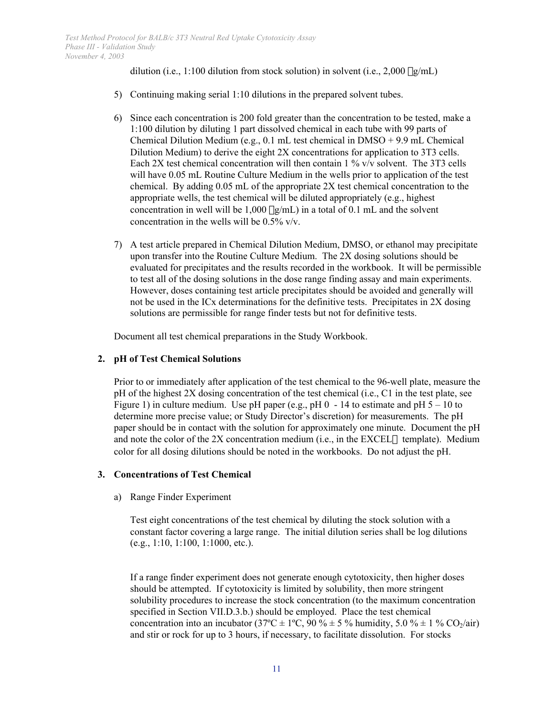dilution (i.e., 1:100 dilution from stock solution) in solvent (i.e.,  $2,000 \mu g/mL$ )

- 5) Continuing making serial 1:10 dilutions in the prepared solvent tubes.
- 6) Since each concentration is 200 fold greater than the concentration to be tested, make a 1:100 dilution by diluting 1 part dissolved chemical in each tube with 99 parts of Chemical Dilution Medium (e.g., 0.1 mL test chemical in DMSO + 9.9 mL Chemical Dilution Medium) to derive the eight 2X concentrations for application to 3T3 cells. Each 2X test chemical concentration will then contain 1 % v/v solvent. The 3T3 cells will have 0.05 mL Routine Culture Medium in the wells prior to application of the test chemical. By adding 0.05 mL of the appropriate 2X test chemical concentration to the appropriate wells, the test chemical will be diluted appropriately (e.g., highest concentration in well will be  $1,000 \mu g/mL$  in a total of 0.1 mL and the solvent concentration in the wells will be 0.5% v/v.
- 7) A test article prepared in Chemical Dilution Medium, DMSO, or ethanol may precipitate upon transfer into the Routine Culture Medium. The 2X dosing solutions should be evaluated for precipitates and the results recorded in the workbook. It will be permissible to test all of the dosing solutions in the dose range finding assay and main experiments. However, doses containing test article precipitates should be avoided and generally will not be used in the ICx determinations for the definitive tests. Precipitates in 2X dosing solutions are permissible for range finder tests but not for definitive tests.

Document all test chemical preparations in the Study Workbook.

# **2. pH of Test Chemical Solutions**

Prior to or immediately after application of the test chemical to the 96-well plate, measure the pH of the highest 2X dosing concentration of the test chemical (i.e., C1 in the test plate, see Figure 1) in culture medium. Use pH paper (e.g., pH  $0 - 14$  to estimate and pH  $5 - 10$  to determine more precise value; or Study Director's discretion) for measurements. The pH paper should be in contact with the solution for approximately one minute. Document the pH and note the color of the  $2X$  concentration medium (i.e., in the EXCEL $\circledR$  template). Medium color for all dosing dilutions should be noted in the workbooks. Do not adjust the pH.

# **3. Concentrations of Test Chemical**

a) Range Finder Experiment

Test eight concentrations of the test chemical by diluting the stock solution with a constant factor covering a large range. The initial dilution series shall be log dilutions (e.g., 1:10, 1:100, 1:1000, etc.).

If a range finder experiment does not generate enough cytotoxicity, then higher doses should be attempted. If cytotoxicity is limited by solubility, then more stringent solubility procedures to increase the stock concentration (to the maximum concentration specified in Section VII.D.3.b.) should be employed. Place the test chemical concentration into an incubator (37 $^{\circ}$ C ± 1 $^{\circ}$ C, 90 %  $\pm$  5 % humidity, 5.0 %  $\pm$  1 % CO<sub>2</sub>/air) and stir or rock for up to 3 hours, if necessary, to facilitate dissolution. For stocks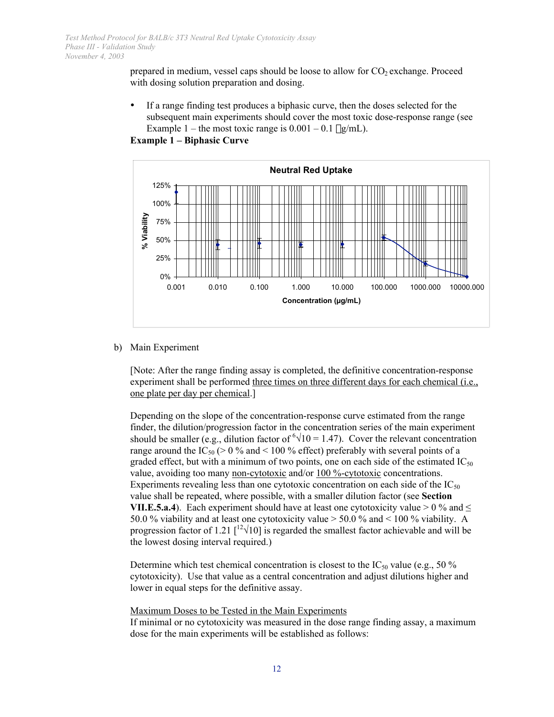prepared in medium, vessel caps should be loose to allow for  $CO<sub>2</sub>$  exchange. Proceed with dosing solution preparation and dosing.

 If a range finding test produces a biphasic curve, then the doses selected for the subsequent main experiments should cover the most toxic dose-response range (see Example 1 – the most toxic range is  $0.001 - 0.1 \mu g/mL$ .



**Example 1 – Biphasic Curve** 

b) Main Experiment

[Note: After the range finding assay is completed, the definitive concentration-response experiment shall be performed three times on three different days for each chemical (i.e., one plate per day per chemical.]

Depending on the slope of the concentration-response curve estimated from the range finder, the dilution/progression factor in the concentration series of the main experiment should be smaller (e.g., dilution factor of  $\sqrt[6]{10} = 1.47$ ). Cover the relevant concentration range around the IC<sub>50</sub> ( $> 0\%$  and  $< 100\%$  effect) preferably with several points of a graded effect, but with a minimum of two points, one on each side of the estimated  $IC_{50}$ value, avoiding too many non-cytotoxic and/or 100 %-cytotoxic concentrations. Experiments revealing less than one cytotoxic concentration on each side of the  $IC_{50}$ value shall be repeated, where possible, with a smaller dilution factor (see **Section VII.E.5.a.4**). Each experiment should have at least one cytotoxicity value  $> 0\%$  and  $\leq$ 50.0 % viability and at least one cytotoxicity value > 50.0 % and < 100 % viability. A progression factor of 1.21  $\left[\frac{12\sqrt{10}}{10}\right]$  is regarded the smallest factor achievable and will be the lowest dosing interval required.)

Determine which test chemical concentration is closest to the  $IC_{50}$  value (e.g., 50 %) cytotoxicity). Use that value as a central concentration and adjust dilutions higher and lower in equal steps for the definitive assay.

Maximum Doses to be Tested in the Main Experiments

If minimal or no cytotoxicity was measured in the dose range finding assay, a maximum dose for the main experiments will be established as follows: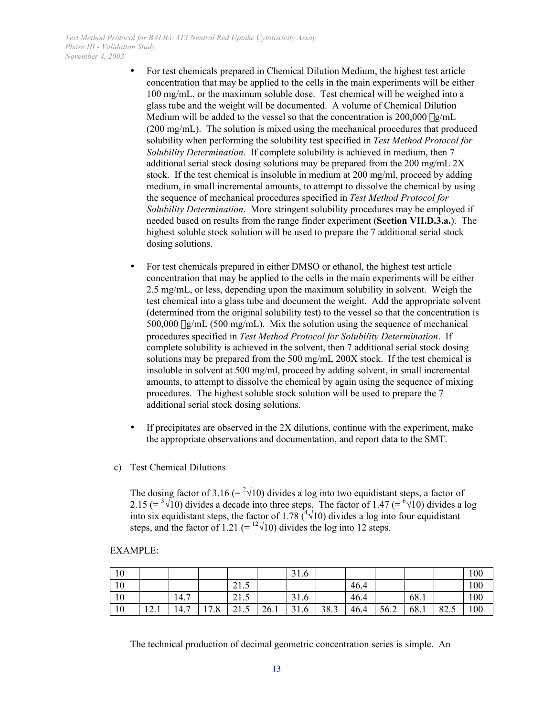For test chemicals prepared in Chemical Dilution Medium, the highest test article concentration that may be applied to the cells in the main experiments will be either 100 mg/mL, or the maximum soluble dose. Test chemical will be weighed into a glass tube and the weight will be documented. A volume of Chemical Dilution Medium will be added to the vessel so that the concentration is  $200,000 \mu g/mL$ (200 mg/mL). The solution is mixed using the mechanical procedures that produced solubility when performing the solubility test specified in *Test Method Protocol for Solubility Determination*. If complete solubility is achieved in medium, then 7 additional serial stock dosing solutions may be prepared from the 200 mg/mL 2X stock. If the test chemical is insoluble in medium at 200 mg/ml, proceed by adding medium, in small incremental amounts, to attempt to dissolve the chemical by using the sequence of mechanical procedures specified in *Test Method Protocol for Solubility Determination*. More stringent solubility procedures may be employed if needed based on results from the range finder experiment (**Section VII.D.3.a.**). The highest soluble stock solution will be used to prepare the 7 additional serial stock dosing solutions.

 For test chemicals prepared in either DMSO or ethanol, the highest test article concentration that may be applied to the cells in the main experiments will be either 2.5 mg/mL, or less, depending upon the maximum solubility in solvent. Weigh the test chemical into a glass tube and document the weight. Add the appropriate solvent (determined from the original solubility test) to the vessel so that the concentration is 500,000 mg/mL (500 mg/mL). Mix the solution using the sequence of mechanical procedures specified in *Test Method Protocol for Solubility Determination*. If complete solubility is achieved in the solvent, then 7 additional serial stock dosing solutions may be prepared from the 500 mg/mL 200X stock. If the test chemical is insoluble in solvent at 500 mg/ml, proceed by adding solvent, in small incremental amounts, to attempt to dissolve the chemical by again using the sequence of mixing procedures. The highest soluble stock solution will be used to prepare the 7 additional serial stock dosing solutions.

 If precipitates are observed in the 2X dilutions, continue with the experiment, make the appropriate observations and documentation, and report data to the SMT.

c) Test Chemical Dilutions

The dosing factor of 3.16 (=  $2\sqrt{10}$ ) divides a log into two equidistant steps, a factor of 2.15 (=  $\sqrt[3]{10}$ ) divides a decade into three steps. The factor of 1.47 (=  $\sqrt[6]{10}$ ) divides a log into six equidistant steps, the factor of 1.78  $({}^{4}\sqrt{10})$  divides a log into four equidistant steps, and the factor of 1.21 (=  $12\sqrt{10}$ ) divides the log into 12 steps.

#### EXAMPLE:

| 10 |                        |                        |      |                      |      | 31.6 |      |      |      |      |                 | 100 |
|----|------------------------|------------------------|------|----------------------|------|------|------|------|------|------|-----------------|-----|
| 10 |                        |                        |      | $^{\sim}$ 1<br>ن 1 گ |      |      |      | 46.4 |      |      |                 | 100 |
| 10 |                        | 14.7                   |      | $^{\sim}$ 1<br>ن 1 گ |      | 31.6 |      | 46.4 |      | 68.1 |                 | 100 |
| 10 | $\sim$<br>$1 \angle 1$ | $\overline{ }$<br>14.1 | 17.8 | $^{\sim}$ 1<br>41.J  | 26.1 | 31.6 | 38.3 | 46.4 | 56.2 | 68.1 | $\circ$<br>04.5 | 100 |

The technical production of decimal geometric concentration series is simple. An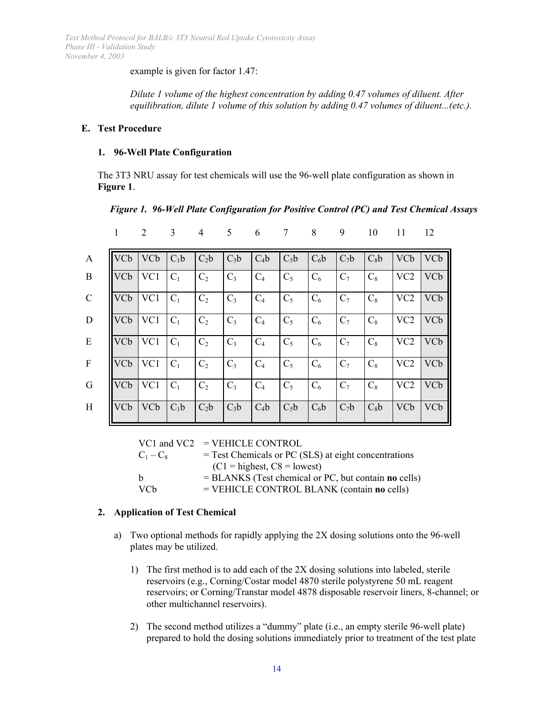example is given for factor 1.47:

*Dilute 1 volume of the highest concentration by adding 0.47 volumes of diluent. After equilibration, dilute 1 volume of this solution by adding 0.47 volumes of diluent...(etc.).* 

### **E. Test Procedure**

### **1. 96-Well Plate Configuration**

The 3T3 NRU assay for test chemicals will use the 96-well plate configuration as shown in **Figure 1**.

*Figure 1. 96-Well Plate Configuration for Positive Control (PC) and Test Chemical Assays* 

|               | 1          | $\overline{2}$ | 3      | 4              | 5      | 6      | 7      | 8      | 9      | 10     | 11              | 12         |
|---------------|------------|----------------|--------|----------------|--------|--------|--------|--------|--------|--------|-----------------|------------|
| $\mathbf{A}$  | <b>VCb</b> | <b>VCb</b>     | $C_1b$ | $C_2b$         | $C_3b$ | $C_4b$ | $C_5b$ | $C_6b$ | $C_7b$ | $C_8b$ | <b>VCb</b>      | <b>VCb</b> |
| B             | <b>VCb</b> | VC1            | $C_1$  | C <sub>2</sub> | $C_3$  | $C_4$  | $C_5$  | $C_6$  | $C_7$  | $C_8$  | VC <sub>2</sub> | <b>VCb</b> |
| $\mathcal{C}$ | <b>VCb</b> | VC1            | $C_1$  | C <sub>2</sub> | $C_3$  | $C_4$  | $C_5$  | $C_6$  | $C_7$  | $C_8$  | VC <sub>2</sub> | VCb        |
| D             | <b>VCb</b> | VC1            | $C_1$  | C <sub>2</sub> | $C_3$  | $C_4$  | $C_5$  | $C_6$  | $C_7$  | $C_8$  | VC <sub>2</sub> | VCb        |
| E             | <b>VCb</b> | VC1            | $C_1$  | C <sub>2</sub> | $C_3$  | $C_4$  | $C_5$  | $C_6$  | $C_7$  | $C_8$  | VC <sub>2</sub> | VCb        |
| $\mathbf{F}$  | <b>VCb</b> | VC1            | $C_1$  | C <sub>2</sub> | $C_3$  | $C_4$  | $C_5$  | $C_6$  | $C_7$  | $C_8$  | VC <sub>2</sub> | <b>VCb</b> |
| G             | <b>VCb</b> | VC1            | $C_1$  | C <sub>2</sub> | $C_3$  | $C_4$  | $C_5$  | $C_6$  | $C_7$  | $C_8$  | VC <sub>2</sub> | VCb        |
| H             | <b>VCb</b> | <b>VCb</b>     | $C_1b$ | $C_2b$         | $C_3b$ | $C_4b$ | $C_5b$ | $C_6b$ | $C_7b$ | $C_8b$ | <b>VCb</b>      | VCb        |

VC1 and VC2 = VEHICLE CONTROL

| $C_1 - C_8$     | $=$ Test Chemicals or PC (SLS) at eight concentrations        |
|-----------------|---------------------------------------------------------------|
|                 | $(C1 =$ highest, $C8 =$ lowest)                               |
| h               | $= BLANKS$ (Test chemical or PC, but contain <b>no</b> cells) |
| VC <sub>b</sub> | $=$ VEHICLE CONTROL BLANK (contain no cells)                  |

# **2. Application of Test Chemical**

- a) Two optional methods for rapidly applying the 2X dosing solutions onto the 96-well plates may be utilized.
	- 1) The first method is to add each of the 2X dosing solutions into labeled, sterile reservoirs (e.g., Corning/Costar model 4870 sterile polystyrene 50 mL reagent reservoirs; or Corning/Transtar model 4878 disposable reservoir liners, 8-channel; or other multichannel reservoirs).
	- 2) The second method utilizes a "dummy" plate (i.e., an empty sterile 96-well plate) prepared to hold the dosing solutions immediately prior to treatment of the test plate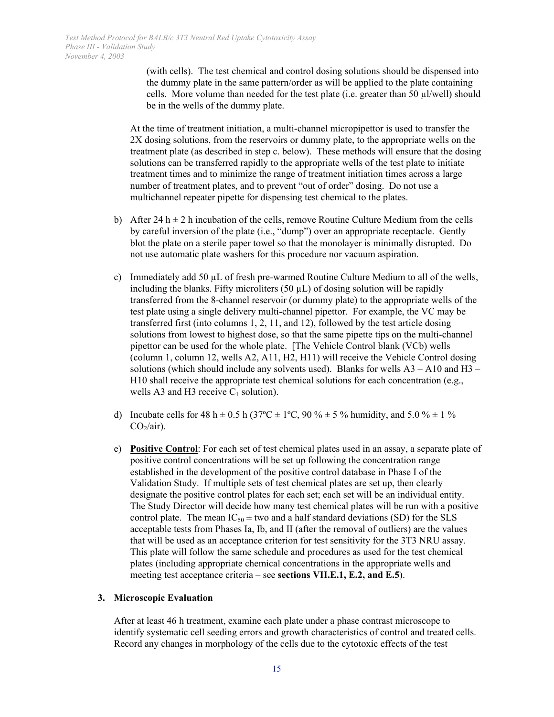(with cells). The test chemical and control dosing solutions should be dispensed into the dummy plate in the same pattern/order as will be applied to the plate containing cells. More volume than needed for the test plate (i.e. greater than 50  $\mu$ I/well) should be in the wells of the dummy plate.

At the time of treatment initiation, a multi-channel micropipettor is used to transfer the 2X dosing solutions, from the reservoirs or dummy plate, to the appropriate wells on the treatment plate (as described in step c. below). These methods will ensure that the dosing solutions can be transferred rapidly to the appropriate wells of the test plate to initiate treatment times and to minimize the range of treatment initiation times across a large number of treatment plates, and to prevent "out of order" dosing. Do not use a multichannel repeater pipette for dispensing test chemical to the plates.

- b) After 24 h  $\pm$  2 h incubation of the cells, remove Routine Culture Medium from the cells by careful inversion of the plate (i.e., "dump") over an appropriate receptacle. Gently blot the plate on a sterile paper towel so that the monolayer is minimally disrupted. Do not use automatic plate washers for this procedure nor vacuum aspiration.
- c) Immediately add 50  $\mu$ L of fresh pre-warmed Routine Culture Medium to all of the wells, including the blanks. Fifty microliters  $(50 \mu L)$  of dosing solution will be rapidly transferred from the 8-channel reservoir (or dummy plate) to the appropriate wells of the test plate using a single delivery multi-channel pipettor. For example, the VC may be transferred first (into columns 1, 2, 11, and 12), followed by the test article dosing solutions from lowest to highest dose, so that the same pipette tips on the multi-channel pipettor can be used for the whole plate. [The Vehicle Control blank (VCb) wells (column 1, column 12, wells A2, A11, H2, H11) will receive the Vehicle Control dosing solutions (which should include any solvents used). Blanks for wells  $A3 - A10$  and  $H3 -$ H10 shall receive the appropriate test chemical solutions for each concentration (e.g., wells A3 and H3 receive  $C_1$  solution).
- d) Incubate cells for 48 h  $\pm$  0.5 h (37°C  $\pm$  1°C, 90 %  $\pm$  5 % humidity, and 5.0 %  $\pm$  1 %  $CO<sub>2</sub>/air$ ).
- e) **Positive Control**: For each set of test chemical plates used in an assay, a separate plate of positive control concentrations will be set up following the concentration range established in the development of the positive control database in Phase I of the Validation Study. If multiple sets of test chemical plates are set up, then clearly designate the positive control plates for each set; each set will be an individual entity. The Study Director will decide how many test chemical plates will be run with a positive control plate. The mean  $IC_{50} \pm$  two and a half standard deviations (SD) for the SLS acceptable tests from Phases Ia, Ib, and II (after the removal of outliers) are the values that will be used as an acceptance criterion for test sensitivity for the 3T3 NRU assay. This plate will follow the same schedule and procedures as used for the test chemical plates (including appropriate chemical concentrations in the appropriate wells and meeting test acceptance criteria – see **sections VII.E.1, E.2, and E.5**).

# **3. Microscopic Evaluation**

After at least 46 h treatment, examine each plate under a phase contrast microscope to identify systematic cell seeding errors and growth characteristics of control and treated cells. Record any changes in morphology of the cells due to the cytotoxic effects of the test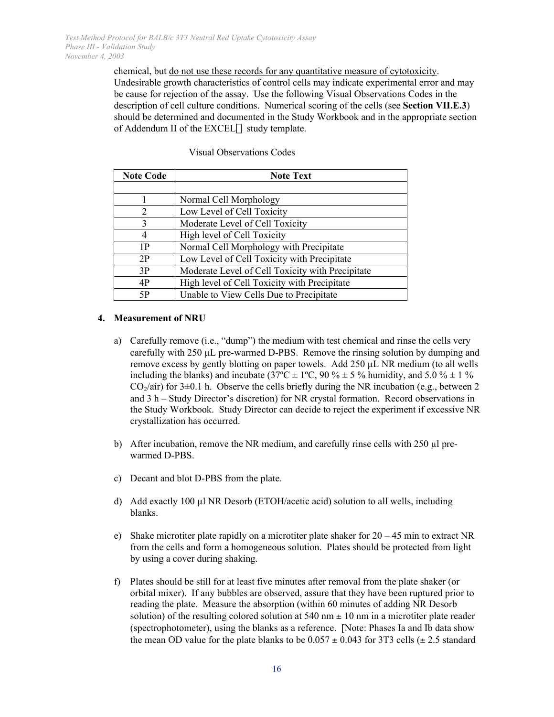chemical, but do not use these records for any quantitative measure of cytotoxicity. Undesirable growth characteristics of control cells may indicate experimental error and may be cause for rejection of the assay. Use the following Visual Observations Codes in the description of cell culture conditions. Numerical scoring of the cells (see **Section VII.E.3**) should be determined and documented in the Study Workbook and in the appropriate section of Addendum II of the EXCEL® study template.

| <b>Note Code</b> | <b>Note Text</b>                                 |
|------------------|--------------------------------------------------|
|                  |                                                  |
|                  | Normal Cell Morphology                           |
| $\overline{2}$   | Low Level of Cell Toxicity                       |
| 3                | Moderate Level of Cell Toxicity                  |
| 4                | High level of Cell Toxicity                      |
| 1P               | Normal Cell Morphology with Precipitate          |
| 2P               | Low Level of Cell Toxicity with Precipitate      |
| 3P               | Moderate Level of Cell Toxicity with Precipitate |
| 4P               | High level of Cell Toxicity with Precipitate     |
| 5Ρ               | Unable to View Cells Due to Precipitate          |

# Visual Observations Codes

# **4. Measurement of NRU**

- $CO<sub>2</sub>/air$ ) for  $3\pm0.1$  h. Observe the cells briefly during the NR incubation (e.g., between 2 a) Carefully remove (i.e., "dump") the medium with test chemical and rinse the cells very carefully with 250 µL pre-warmed D-PBS. Remove the rinsing solution by dumping and remove excess by gently blotting on paper towels. Add 250 µL NR medium (to all wells including the blanks) and incubate ( $37^{\circ}C \pm 1^{\circ}C$ , 90 %  $\pm$  5 % humidity, and 5.0 %  $\pm$  1 % and 3 h – Study Director's discretion) for NR crystal formation. Record observations in the Study Workbook. Study Director can decide to reject the experiment if excessive NR crystallization has occurred.
- b) After incubation, remove the NR medium, and carefully rinse cells with  $250 \mu$  prewarmed D-PBS.
- c) Decant and blot D-PBS from the plate.
- d) Add exactly 100  $\mu$ l NR Desorb (ETOH/acetic acid) solution to all wells, including blanks.
- e) Shake microtiter plate rapidly on a microtiter plate shaker for  $20 45$  min to extract NR from the cells and form a homogeneous solution. Plates should be protected from light by using a cover during shaking.
- f) Plates should be still for at least five minutes after removal from the plate shaker (or orbital mixer). If any bubbles are observed, assure that they have been ruptured prior to reading the plate. Measure the absorption (within 60 minutes of adding NR Desorb solution) of the resulting colored solution at 540 nm  $\pm$  10 nm in a microtiter plate reader (spectrophotometer), using the blanks as a reference. [Note: Phases Ia and Ib data show the mean OD value for the plate blanks to be  $0.057 \pm 0.043$  for 3T3 cells ( $\pm 2.5$  standard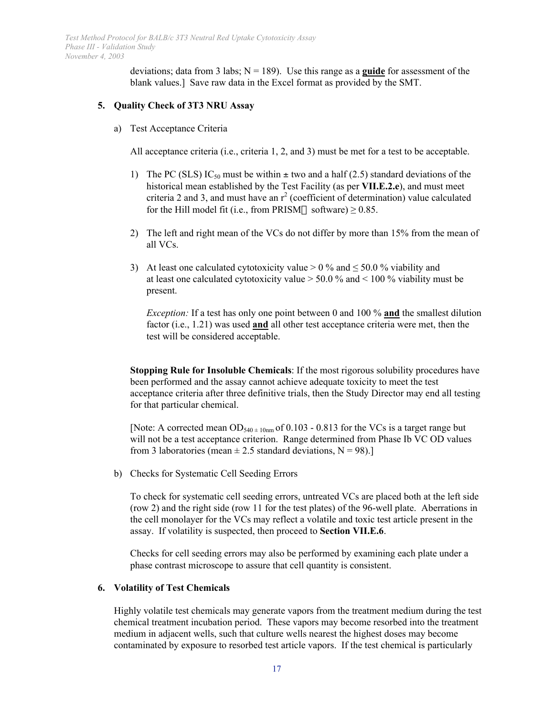deviations; data from 3 labs;  $N = 189$ ). Use this range as a **guide** for assessment of the blank values.] Save raw data in the Excel format as provided by the SMT.

#### **5. Quality Check of 3T3 NRU Assay**

a) Test Acceptance Criteria

All acceptance criteria (i.e., criteria 1, 2, and 3) must be met for a test to be acceptable.

- 1) The PC (SLS) IC<sub>50</sub> must be within  $\pm$  two and a half (2.5) standard deviations of the historical mean established by the Test Facility (as per **VII.E.2.e**), and must meet criteria 2 and 3, and must have an  $r^2$  (coefficient of determination) value calculated for the Hill model fit (i.e., from PRISM® software)  $\geq$  0.85.
- 2) The left and right mean of the VCs do not differ by more than 15% from the mean of all VCs.
- 3) At least one calculated cytotoxicity value  $> 0\%$  and  $\leq 50.0\%$  viability and at least one calculated cytotoxicity value > 50.0 % and < 100 % viability must be present.

*Exception:* If a test has only one point between 0 and 100 % **and** the smallest dilution factor (i.e., 1.21) was used **and** all other test acceptance criteria were met, then the test will be considered acceptable.

**Stopping Rule for Insoluble Chemicals**: If the most rigorous solubility procedures have been performed and the assay cannot achieve adequate toxicity to meet the test acceptance criteria after three definitive trials, then the Study Director may end all testing for that particular chemical.

[Note: A corrected mean  $OD_{540 \pm 10nm}$  of 0.103 - 0.813 for the VCs is a target range but will not be a test acceptance criterion. Range determined from Phase Ib VC OD values from 3 laboratories (mean  $\pm$  2.5 standard deviations, N = 98).]

b) Checks for Systematic Cell Seeding Errors

To check for systematic cell seeding errors, untreated VCs are placed both at the left side (row 2) and the right side (row 11 for the test plates) of the 96-well plate. Aberrations in the cell monolayer for the VCs may reflect a volatile and toxic test article present in the assay. If volatility is suspected, then proceed to **Section VII.E.6**.

Checks for cell seeding errors may also be performed by examining each plate under a phase contrast microscope to assure that cell quantity is consistent.

# **6. Volatility of Test Chemicals**

Highly volatile test chemicals may generate vapors from the treatment medium during the test chemical treatment incubation period. These vapors may become resorbed into the treatment medium in adjacent wells, such that culture wells nearest the highest doses may become contaminated by exposure to resorbed test article vapors. If the test chemical is particularly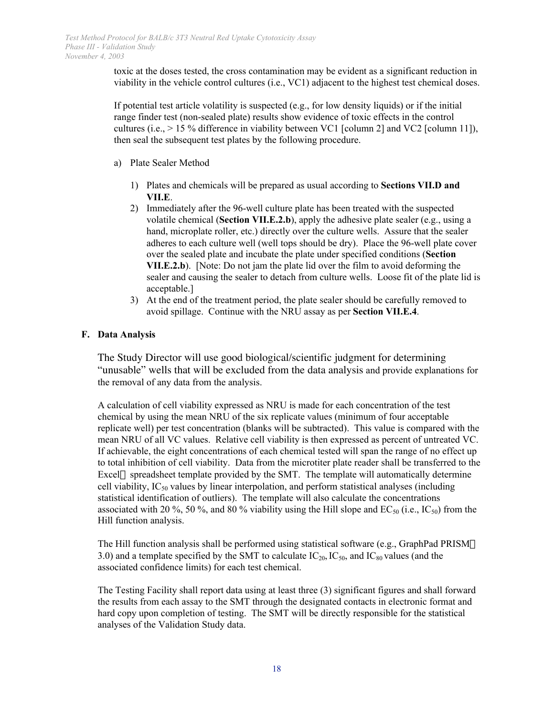toxic at the doses tested, the cross contamination may be evident as a significant reduction in viability in the vehicle control cultures (i.e., VC1) adjacent to the highest test chemical doses.

If potential test article volatility is suspected  $(e.g., for low density liquids)$  or if the initial range finder test (non-sealed plate) results show evidence of toxic effects in the control cultures (i.e.,  $> 15\%$  difference in viability between VC1 [column 2] and VC2 [column 11]), then seal the subsequent test plates by the following procedure.

- a) Plate Sealer Method
	- 1) Plates and chemicals will be prepared as usual according to **Sections VII.D and VII.E**.
	- 2) Immediately after the 96-well culture plate has been treated with the suspected volatile chemical (**Section VII.E.2.b**), apply the adhesive plate sealer (e.g., using a hand, microplate roller, etc.) directly over the culture wells. Assure that the sealer adheres to each culture well (well tops should be dry). Place the 96-well plate cover over the sealed plate and incubate the plate under specified conditions (**Section VII.E.2.b**). [Note: Do not jam the plate lid over the film to avoid deforming the sealer and causing the sealer to detach from culture wells. Loose fit of the plate lid is acceptable.]
	- 3) At the end of the treatment period, the plate sealer should be carefully removed to avoid spillage. Continue with the NRU assay as per **Section VII.E.4**.

# **F. Data Analysis**

The Study Director will use good biological/scientific judgment for determining "unusable" wells that will be excluded from the data analysis and provide explanations for the removal of any data from the analysis.

A calculation of cell viability expressed as NRU is made for each concentration of the test chemical by using the mean NRU of the six replicate values (minimum of four acceptable replicate well) per test concentration (blanks will be subtracted). This value is compared with the mean NRU of all VC values. Relative cell viability is then expressed as percent of untreated VC. If achievable, the eight concentrations of each chemical tested will span the range of no effect up to total inhibition of cell viability. Data from the microtiter plate reader shall be transferred to the Excel® spreadsheet template provided by the SMT. The template will automatically determine cell viability,  $IC_{50}$  values by linear interpolation, and perform statistical analyses (including statistical identification of outliers). The template will also calculate the concentrations associated with 20 %, 50 %, and 80 % viability using the Hill slope and  $EC_{50}$  (i.e.,  $IC_{50}$ ) from the Hill function analysis.

The Hill function analysis shall be performed using statistical software (e.g., GraphPad PRISM $\circledR$ ) 3.0) and a template specified by the SMT to calculate  $IC_{20}$ ,  $IC_{50}$ , and  $IC_{80}$  values (and the associated confidence limits) for each test chemical.

The Testing Facility shall report data using at least three (3) significant figures and shall forward the results from each assay to the SMT through the designated contacts in electronic format and hard copy upon completion of testing. The SMT will be directly responsible for the statistical analyses of the Validation Study data.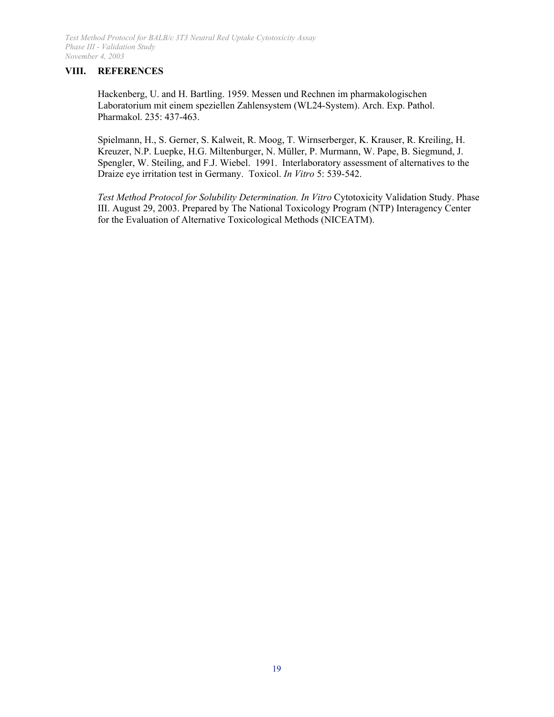# **VIII. REFERENCES**

Hackenberg, U. and H. Bartling. 1959. Messen und Rechnen im pharmakologischen Laboratorium mit einem speziellen Zahlensystem (WL24-System). Arch. Exp. Pathol. Pharmakol. 235: 437-463.

Spielmann, H., S. Gerner, S. Kalweit, R. Moog, T. Wirnserberger, K. Krauser, R. Kreiling, H. Kreuzer, N.P. Luepke, H.G. Miltenburger, N. Müller, P. Murmann, W. Pape, B. Siegmund, J. Spengler, W. Steiling, and F.J. Wiebel. 1991. Interlaboratory assessment of alternatives to the Draize eye irritation test in Germany. Toxicol. *In Vitro* 5: 539-542.

*Test Method Protocol for Solubility Determination. In Vitro* Cytotoxicity Validation Study. Phase III. August 29, 2003. Prepared by The National Toxicology Program (NTP) Interagency Center for the Evaluation of Alternative Toxicological Methods (NICEATM).